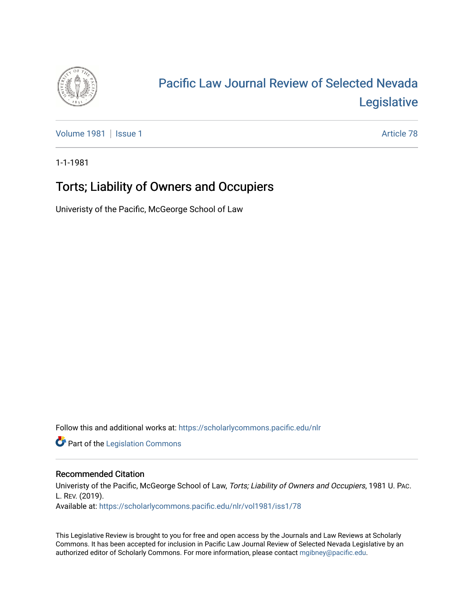

# [Pacific Law Journal Review of Selected Nevada](https://scholarlycommons.pacific.edu/nlr)  [Legislative](https://scholarlycommons.pacific.edu/nlr)

[Volume 1981](https://scholarlycommons.pacific.edu/nlr/vol1981) | [Issue 1](https://scholarlycommons.pacific.edu/nlr/vol1981/iss1) Article 78

1-1-1981

## Torts; Liability of Owners and Occupiers

Univeristy of the Pacific, McGeorge School of Law

Follow this and additional works at: [https://scholarlycommons.pacific.edu/nlr](https://scholarlycommons.pacific.edu/nlr?utm_source=scholarlycommons.pacific.edu%2Fnlr%2Fvol1981%2Fiss1%2F78&utm_medium=PDF&utm_campaign=PDFCoverPages) 

**Part of the [Legislation Commons](http://network.bepress.com/hgg/discipline/859?utm_source=scholarlycommons.pacific.edu%2Fnlr%2Fvol1981%2Fiss1%2F78&utm_medium=PDF&utm_campaign=PDFCoverPages)** 

### Recommended Citation

Univeristy of the Pacific, McGeorge School of Law, Torts; Liability of Owners and Occupiers, 1981 U. PAC. L. REV. (2019). Available at: [https://scholarlycommons.pacific.edu/nlr/vol1981/iss1/78](https://scholarlycommons.pacific.edu/nlr/vol1981/iss1/78?utm_source=scholarlycommons.pacific.edu%2Fnlr%2Fvol1981%2Fiss1%2F78&utm_medium=PDF&utm_campaign=PDFCoverPages)

This Legislative Review is brought to you for free and open access by the Journals and Law Reviews at Scholarly Commons. It has been accepted for inclusion in Pacific Law Journal Review of Selected Nevada Legislative by an authorized editor of Scholarly Commons. For more information, please contact [mgibney@pacific.edu](mailto:mgibney@pacific.edu).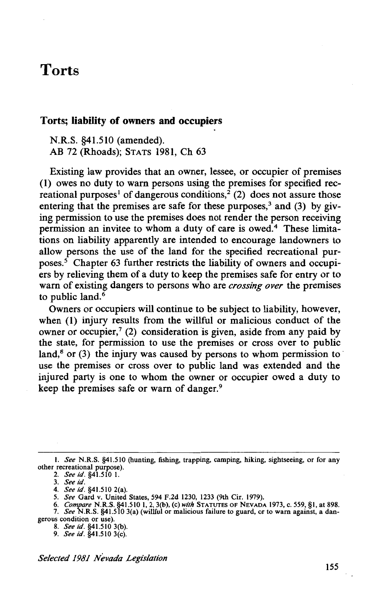### **Torts**

### **Torts; liability of owners and occupiers**

N.R.S. §41.510 (amended). AB 72 (Rhoads); STATS 1981, Ch 63

Existing law provides that an owner, lessee, or occupier of premises (1) owes no duty to warn persons using the premises for specified recreational purposes<sup>1</sup> of dangerous conditions,<sup>2</sup> (2) does not assure those entering that the premises are safe for these purposes,<sup>3</sup> and (3) by giving permission to use the premises does not render the person receiving permission an invitee to whom a duty of care is owed.4 These limitations on liability apparently are intended to encourage landowners to allow persons the use of the land for the specified recreational purposes. $5$  Chapter 63 further restricts the liability of owners and occupiers by relieving them of a duty to keep the premises safe for entry or to warn of existing dangers to persons who are *crossing over* the premises to public land.<sup>6</sup>

Owners or occupiers will continue to be subject to liability, however, when **(1)** injury results from the willful or malicious conduct of the owner or occupier,<sup>7</sup> (2) consideration is given, aside from any paid by the state, for permission to use the premises or cross over to public land, $8$  or (3) the injury was caused by persons to whom permission to use the premises or cross over to public land was extended and the injured party is one to whom the owner or occupier owed a duty to keep the premises safe or warn of danger.<sup>9</sup>

*Selected 1981 Nevada Legislation* 

I. *See* N.R.S. §41.510 (hunting, fishing, trapping, camping, hiking, sightseeing, or for any other recreational purpose).

<sup>2.</sup> *See id.* §41.510 1.

<sup>3.</sup> *Seeid.* 

<sup>4.</sup> *See id.* §41.510 2(a).

<sup>5.</sup> *See* Gard v. United States, 594 F.2d 1230, 1233 (9th Cir. 1979).

<sup>6.</sup> *Compare* N.R.S. §41.510 1, 2, 3(b), (c) *with* STATUTES OF NEVADA 1973, c. 559, §1, at 898. 7. *See* N.R.S. §41.510 3(a) (willful or malicious failure to guard, or to warn against, a dan-

gerous condition or use). 8. *See id.* §41.510 3(b).

<sup>9.</sup> *See id.* §41.510 3(c).